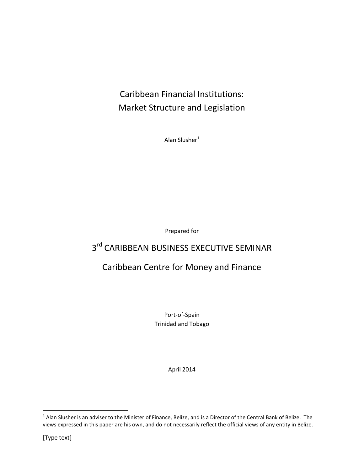## Caribbean Financial Institutions: Market Structure and Legislation

Alan Slusher $1$ 

Prepared for

## 3<sup>rd</sup> CARIBBEAN BUSINESS EXECUTIVE SEMINAR

## Caribbean Centre for Money and Finance

Port-of-Spain Trinidad and Tobago

April 2014

l

 $^1$  Alan Slusher is an adviser to the Minister of Finance, Belize, and is a Director of the Central Bank of Belize. The views expressed in this paper are his own, and do not necessarily reflect the official views of any entity in Belize.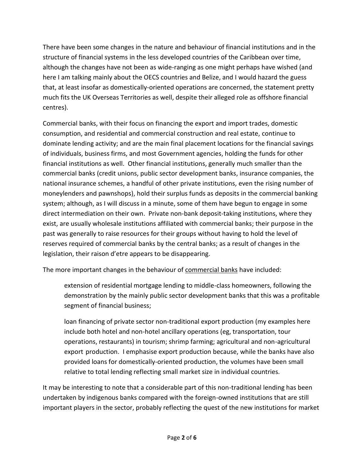There have been some changes in the nature and behaviour of financial institutions and in the structure of financial systems in the less developed countries of the Caribbean over time, although the changes have not been as wide-ranging as one might perhaps have wished (and here I am talking mainly about the OECS countries and Belize, and I would hazard the guess that, at least insofar as domestically-oriented operations are concerned, the statement pretty much fits the UK Overseas Territories as well, despite their alleged role as offshore financial centres).

Commercial banks, with their focus on financing the export and import trades, domestic consumption, and residential and commercial construction and real estate, continue to dominate lending activity; and are the main final placement locations for the financial savings of individuals, business firms, and most Government agencies, holding the funds for other financial institutions as well. Other financial institutions, generally much smaller than the commercial banks (credit unions, public sector development banks, insurance companies, the national insurance schemes, a handful of other private institutions, even the rising number of moneylenders and pawnshops), hold their surplus funds as deposits in the commercial banking system; although, as I will discuss in a minute, some of them have begun to engage in some direct intermediation on their own. Private non-bank deposit-taking institutions, where they exist, are usually wholesale institutions affiliated with commercial banks; their purpose in the past was generally to raise resources for their groups without having to hold the level of reserves required of commercial banks by the central banks; as a result of changes in the legislation, their raison d'etre appears to be disappearing.

The more important changes in the behaviour of commercial banks have included:

extension of residential mortgage lending to middle-class homeowners, following the demonstration by the mainly public sector development banks that this was a profitable segment of financial business;

loan financing of private sector non-traditional export production (my examples here include both hotel and non-hotel ancillary operations (eg, transportation, tour operations, restaurants) in tourism; shrimp farming; agricultural and non-agricultural export production. I emphasise export production because, while the banks have also provided loans for domestically-oriented production, the volumes have been small relative to total lending reflecting small market size in individual countries.

It may be interesting to note that a considerable part of this non-traditional lending has been undertaken by indigenous banks compared with the foreign-owned institutions that are still important players in the sector, probably reflecting the quest of the new institutions for market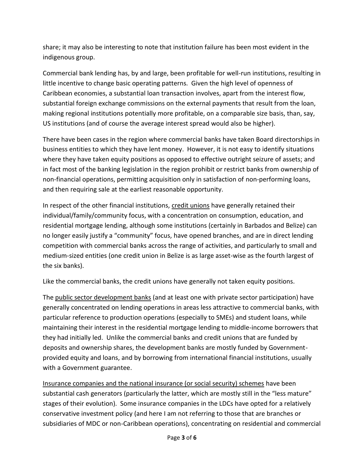share; it may also be interesting to note that institution failure has been most evident in the indigenous group.

Commercial bank lending has, by and large, been profitable for well-run institutions, resulting in little incentive to change basic operating patterns. Given the high level of openness of Caribbean economies, a substantial loan transaction involves, apart from the interest flow, substantial foreign exchange commissions on the external payments that result from the loan, making regional institutions potentially more profitable, on a comparable size basis, than, say, US institutions (and of course the average interest spread would also be higher).

There have been cases in the region where commercial banks have taken Board directorships in business entities to which they have lent money. However, it is not easy to identify situations where they have taken equity positions as opposed to effective outright seizure of assets; and in fact most of the banking legislation in the region prohibit or restrict banks from ownership of non-financial operations, permitting acquisition only in satisfaction of non-performing loans, and then requiring sale at the earliest reasonable opportunity.

In respect of the other financial institutions, credit unions have generally retained their individual/family/community focus, with a concentration on consumption, education, and residential mortgage lending, although some institutions (certainly in Barbados and Belize) can no longer easily justify a "community" focus, have opened branches, and are in direct lending competition with commercial banks across the range of activities, and particularly to small and medium-sized entities (one credit union in Belize is as large asset-wise as the fourth largest of the six banks).

Like the commercial banks, the credit unions have generally not taken equity positions.

The public sector development banks (and at least one with private sector participation) have generally concentrated on lending operations in areas less attractive to commercial banks, with particular reference to production operations (especially to SMEs) and student loans, while maintaining their interest in the residential mortgage lending to middle-income borrowers that they had initially led. Unlike the commercial banks and credit unions that are funded by deposits and ownership shares, the development banks are mostly funded by Governmentprovided equity and loans, and by borrowing from international financial institutions, usually with a Government guarantee.

Insurance companies and the national insurance (or social security) schemes have been substantial cash generators (particularly the latter, which are mostly still in the "less mature" stages of their evolution). Some insurance companies in the LDCs have opted for a relatively conservative investment policy (and here I am not referring to those that are branches or subsidiaries of MDC or non-Caribbean operations), concentrating on residential and commercial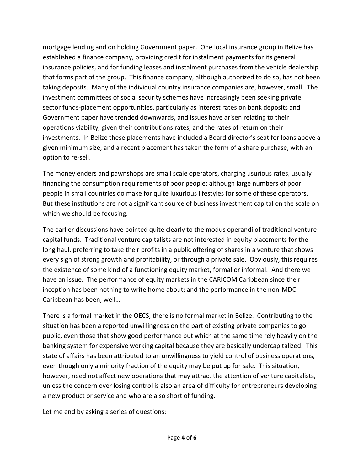mortgage lending and on holding Government paper. One local insurance group in Belize has established a finance company, providing credit for instalment payments for its general insurance policies, and for funding leases and instalment purchases from the vehicle dealership that forms part of the group. This finance company, although authorized to do so, has not been taking deposits. Many of the individual country insurance companies are, however, small. The investment committees of social security schemes have increasingly been seeking private sector funds-placement opportunities, particularly as interest rates on bank deposits and Government paper have trended downwards, and issues have arisen relating to their operations viability, given their contributions rates, and the rates of return on their investments. In Belize these placements have included a Board director's seat for loans above a given minimum size, and a recent placement has taken the form of a share purchase, with an option to re-sell.

The moneylenders and pawnshops are small scale operators, charging usurious rates, usually financing the consumption requirements of poor people; although large numbers of poor people in small countries do make for quite luxurious lifestyles for some of these operators. But these institutions are not a significant source of business investment capital on the scale on which we should be focusing.

The earlier discussions have pointed quite clearly to the modus operandi of traditional venture capital funds. Traditional venture capitalists are not interested in equity placements for the long haul, preferring to take their profits in a public offering of shares in a venture that shows every sign of strong growth and profitability, or through a private sale. Obviously, this requires the existence of some kind of a functioning equity market, formal or informal. And there we have an issue. The performance of equity markets in the CARICOM Caribbean since their inception has been nothing to write home about; and the performance in the non-MDC Caribbean has been, well…

There is a formal market in the OECS; there is no formal market in Belize. Contributing to the situation has been a reported unwillingness on the part of existing private companies to go public, even those that show good performance but which at the same time rely heavily on the banking system for expensive working capital because they are basically undercapitalized. This state of affairs has been attributed to an unwillingness to yield control of business operations, even though only a minority fraction of the equity may be put up for sale. This situation, however, need not affect new operations that may attract the attention of venture capitalists, unless the concern over losing control is also an area of difficulty for entrepreneurs developing a new product or service and who are also short of funding.

Let me end by asking a series of questions: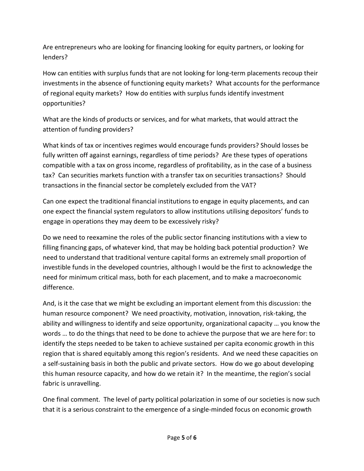Are entrepreneurs who are looking for financing looking for equity partners, or looking for lenders?

How can entities with surplus funds that are not looking for long-term placements recoup their investments in the absence of functioning equity markets? What accounts for the performance of regional equity markets? How do entities with surplus funds identify investment opportunities?

What are the kinds of products or services, and for what markets, that would attract the attention of funding providers?

What kinds of tax or incentives regimes would encourage funds providers? Should losses be fully written off against earnings, regardless of time periods? Are these types of operations compatible with a tax on gross income, regardless of profitability, as in the case of a business tax? Can securities markets function with a transfer tax on securities transactions? Should transactions in the financial sector be completely excluded from the VAT?

Can one expect the traditional financial institutions to engage in equity placements, and can one expect the financial system regulators to allow institutions utilising depositors' funds to engage in operations they may deem to be excessively risky?

Do we need to reexamine the roles of the public sector financing institutions with a view to filling financing gaps, of whatever kind, that may be holding back potential production? We need to understand that traditional venture capital forms an extremely small proportion of investible funds in the developed countries, although I would be the first to acknowledge the need for minimum critical mass, both for each placement, and to make a macroeconomic difference.

And, is it the case that we might be excluding an important element from this discussion: the human resource component? We need proactivity, motivation, innovation, risk-taking, the ability and willingness to identify and seize opportunity, organizational capacity … you know the words … to do the things that need to be done to achieve the purpose that we are here for: to identify the steps needed to be taken to achieve sustained per capita economic growth in this region that is shared equitably among this region's residents. And we need these capacities on a self-sustaining basis in both the public and private sectors. How do we go about developing this human resource capacity, and how do we retain it? In the meantime, the region's social fabric is unravelling.

One final comment. The level of party political polarization in some of our societies is now such that it is a serious constraint to the emergence of a single-minded focus on economic growth